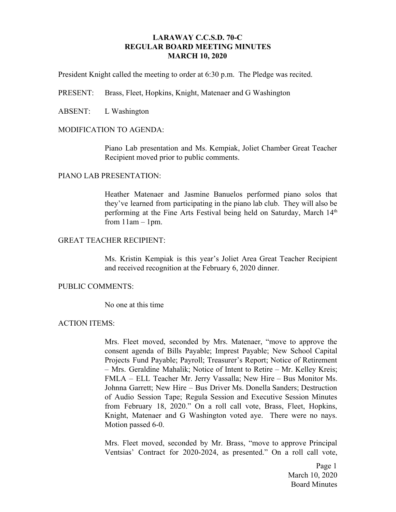# **LARAWAY C.C.S.D. 70-C REGULAR BOARD MEETING MINUTES MARCH 10, 2020**

President Knight called the meeting to order at 6:30 p.m. The Pledge was recited.

PRESENT: Brass, Fleet, Hopkins, Knight, Matenaer and G Washington

ABSENT: L Washington

## MODIFICATION TO AGENDA:

Piano Lab presentation and Ms. Kempiak, Joliet Chamber Great Teacher Recipient moved prior to public comments.

## PIANO LAB PRESENTATION:

Heather Matenaer and Jasmine Banuelos performed piano solos that they've learned from participating in the piano lab club. They will also be performing at the Fine Arts Festival being held on Saturday, March 14<sup>th</sup> from  $11$ am  $-1$ pm.

## GREAT TEACHER RECIPIENT:

Ms. Kristin Kempiak is this year's Joliet Area Great Teacher Recipient and received recognition at the February 6, 2020 dinner.

## PUBLIC COMMENTS:

No one at this time

## ACTION ITEMS:

Mrs. Fleet moved, seconded by Mrs. Matenaer, "move to approve the consent agenda of Bills Payable; Imprest Payable; New School Capital Projects Fund Payable; Payroll; Treasurer's Report; Notice of Retirement – Mrs. Geraldine Mahalik; Notice of Intent to Retire – Mr. Kelley Kreis; FMLA – ELL Teacher Mr. Jerry Vassalla; New Hire – Bus Monitor Ms. Johnna Garrett; New Hire – Bus Driver Ms. Donella Sanders; Destruction of Audio Session Tape; Regula Session and Executive Session Minutes from February 18, 2020." On a roll call vote, Brass, Fleet, Hopkins, Knight, Matenaer and G Washington voted aye. There were no nays. Motion passed 6-0.

Mrs. Fleet moved, seconded by Mr. Brass, "move to approve Principal Ventsias' Contract for 2020-2024, as presented." On a roll call vote,

> Page 1 March 10, 2020 Board Minutes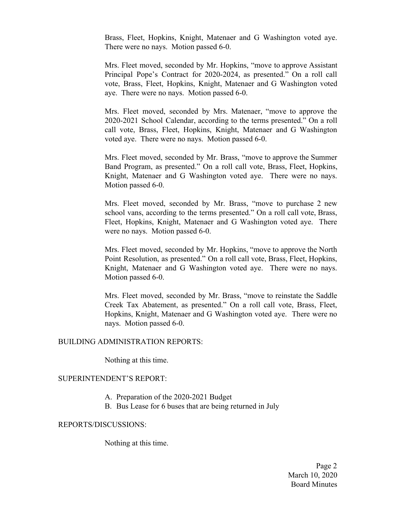Brass, Fleet, Hopkins, Knight, Matenaer and G Washington voted aye. There were no nays. Motion passed 6-0.

Mrs. Fleet moved, seconded by Mr. Hopkins, "move to approve Assistant Principal Pope's Contract for 2020-2024, as presented." On a roll call vote, Brass, Fleet, Hopkins, Knight, Matenaer and G Washington voted aye. There were no nays. Motion passed 6-0.

Mrs. Fleet moved, seconded by Mrs. Matenaer, "move to approve the 2020-2021 School Calendar, according to the terms presented." On a roll call vote, Brass, Fleet, Hopkins, Knight, Matenaer and G Washington voted aye. There were no nays. Motion passed 6-0.

Mrs. Fleet moved, seconded by Mr. Brass, "move to approve the Summer Band Program, as presented." On a roll call vote, Brass, Fleet, Hopkins, Knight, Matenaer and G Washington voted aye. There were no nays. Motion passed 6-0.

Mrs. Fleet moved, seconded by Mr. Brass, "move to purchase 2 new school vans, according to the terms presented." On a roll call vote, Brass, Fleet, Hopkins, Knight, Matenaer and G Washington voted aye. There were no nays. Motion passed 6-0.

Mrs. Fleet moved, seconded by Mr. Hopkins, "move to approve the North Point Resolution, as presented." On a roll call vote, Brass, Fleet, Hopkins, Knight, Matenaer and G Washington voted aye. There were no nays. Motion passed 6-0.

Mrs. Fleet moved, seconded by Mr. Brass, "move to reinstate the Saddle Creek Tax Abatement, as presented." On a roll call vote, Brass, Fleet, Hopkins, Knight, Matenaer and G Washington voted aye. There were no nays. Motion passed 6-0.

#### BUILDING ADMINISTRATION REPORTS:

Nothing at this time.

# SUPERINTENDENT'S REPORT:

- A. Preparation of the 2020-2021 Budget
- B. Bus Lease for 6 buses that are being returned in July

#### REPORTS/DISCUSSIONS:

Nothing at this time.